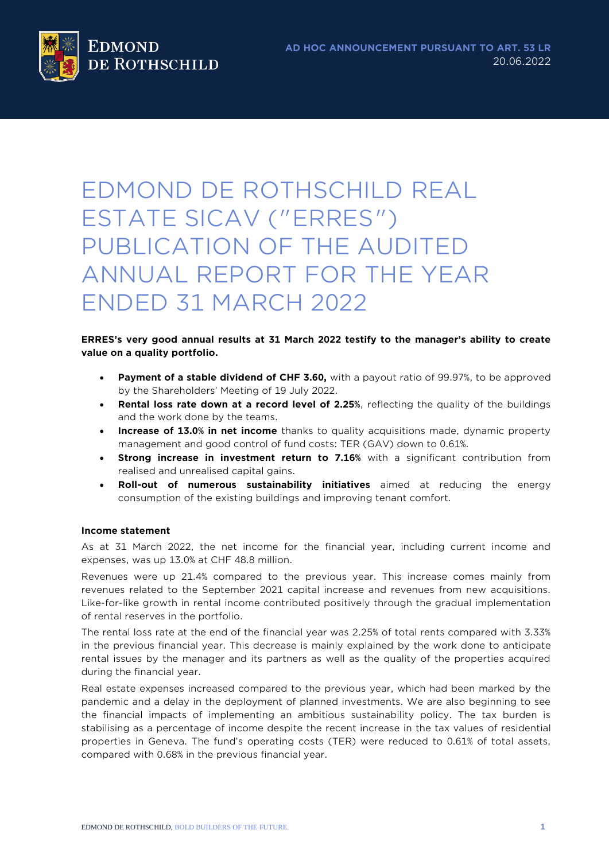# EDMOND DE ROTHSCHILD REAL ESTATE SICAV ("ERRES") PUBLICATION OF THE AUDITED ANNUAL REPORT FOR THE YEAR ENDED 31 MARCH 2022

## **ERRES's very good annual results at 31 March 2022 testify to the manager's ability to create value on a quality portfolio.**

- **Payment of a stable dividend of CHF 3.60,** with a payout ratio of 99.97%, to be approved by the Shareholders' Meeting of 19 July 2022.
- **Rental loss rate down at a record level of 2.25%**, reflecting the quality of the buildings and the work done by the teams.
- **Increase of 13.0% in net income** thanks to quality acquisitions made, dynamic property management and good control of fund costs: TER (GAV) down to 0.61%.
- **Strong increase in investment return to 7.16%** with a significant contribution from realised and unrealised capital gains.
- **Roll-out of numerous sustainability initiatives** aimed at reducing the energy consumption of the existing buildings and improving tenant comfort.

# **Income statement**

As at 31 March 2022, the net income for the financial year, including current income and expenses, was up 13.0% at CHF 48.8 million.

Revenues were up 21.4% compared to the previous year. This increase comes mainly from revenues related to the September 2021 capital increase and revenues from new acquisitions. Like-for-like growth in rental income contributed positively through the gradual implementation of rental reserves in the portfolio.

The rental loss rate at the end of the financial year was 2.25% of total rents compared with 3.33% in the previous financial year. This decrease is mainly explained by the work done to anticipate rental issues by the manager and its partners as well as the quality of the properties acquired during the financial year.

Real estate expenses increased compared to the previous year, which had been marked by the pandemic and a delay in the deployment of planned investments. We are also beginning to see the financial impacts of implementing an ambitious sustainability policy. The tax burden is stabilising as a percentage of income despite the recent increase in the tax values of residential properties in Geneva. The fund's operating costs (TER) were reduced to 0.61% of total assets, compared with 0.68% in the previous financial year.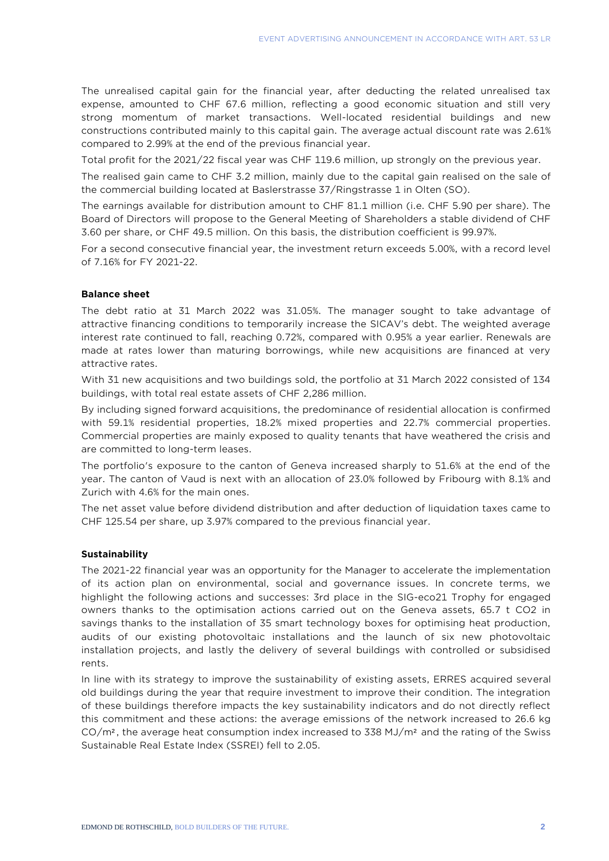The unrealised capital gain for the financial year, after deducting the related unrealised tax expense, amounted to CHF 67.6 million, reflecting a good economic situation and still very strong momentum of market transactions. Well-located residential buildings and new constructions contributed mainly to this capital gain. The average actual discount rate was 2.61% compared to 2.99% at the end of the previous financial year.

Total profit for the 2021/22 fiscal year was CHF 119.6 million, up strongly on the previous year.

The realised gain came to CHF 3.2 million, mainly due to the capital gain realised on the sale of the commercial building located at Baslerstrasse 37/Ringstrasse 1 in Olten (SO).

The earnings available for distribution amount to CHF 81.1 million (i.e. CHF 5.90 per share). The Board of Directors will propose to the General Meeting of Shareholders a stable dividend of CHF 3.60 per share, or CHF 49.5 million. On this basis, the distribution coefficient is 99.97%.

For a second consecutive financial year, the investment return exceeds 5.00%, with a record level of 7.16% for FY 2021-22.

#### **Balance sheet**

The debt ratio at 31 March 2022 was 31.05%. The manager sought to take advantage of attractive financing conditions to temporarily increase the SICAV's debt. The weighted average interest rate continued to fall, reaching 0.72%, compared with 0.95% a year earlier. Renewals are made at rates lower than maturing borrowings, while new acquisitions are financed at very attractive rates.

With 31 new acquisitions and two buildings sold, the portfolio at 31 March 2022 consisted of 134 buildings, with total real estate assets of CHF 2,286 million.

By including signed forward acquisitions, the predominance of residential allocation is confirmed with 59.1% residential properties, 18.2% mixed properties and 22.7% commercial properties. Commercial properties are mainly exposed to quality tenants that have weathered the crisis and are committed to long-term leases.

The portfolio's exposure to the canton of Geneva increased sharply to 51.6% at the end of the year. The canton of Vaud is next with an allocation of 23.0% followed by Fribourg with 8.1% and Zurich with 4.6% for the main ones.

The net asset value before dividend distribution and after deduction of liquidation taxes came to CHF 125.54 per share, up 3.97% compared to the previous financial year.

#### **Sustainability**

The 2021-22 financial year was an opportunity for the Manager to accelerate the implementation of its action plan on environmental, social and governance issues. In concrete terms, we highlight the following actions and successes: 3rd place in the SIG-eco21 Trophy for engaged owners thanks to the optimisation actions carried out on the Geneva assets, 65.7 t CO2 in savings thanks to the installation of 35 smart technology boxes for optimising heat production, audits of our existing photovoltaic installations and the launch of six new photovoltaic installation projects, and lastly the delivery of several buildings with controlled or subsidised rents.

In line with its strategy to improve the sustainability of existing assets, ERRES acquired several old buildings during the year that require investment to improve their condition. The integration of these buildings therefore impacts the key sustainability indicators and do not directly reflect this commitment and these actions: the average emissions of the network increased to 26.6 kg  $CO/m<sup>2</sup>$ , the average heat consumption index increased to 338 MJ/m<sup>2</sup> and the rating of the Swiss Sustainable Real Estate Index (SSREI) fell to 2.05.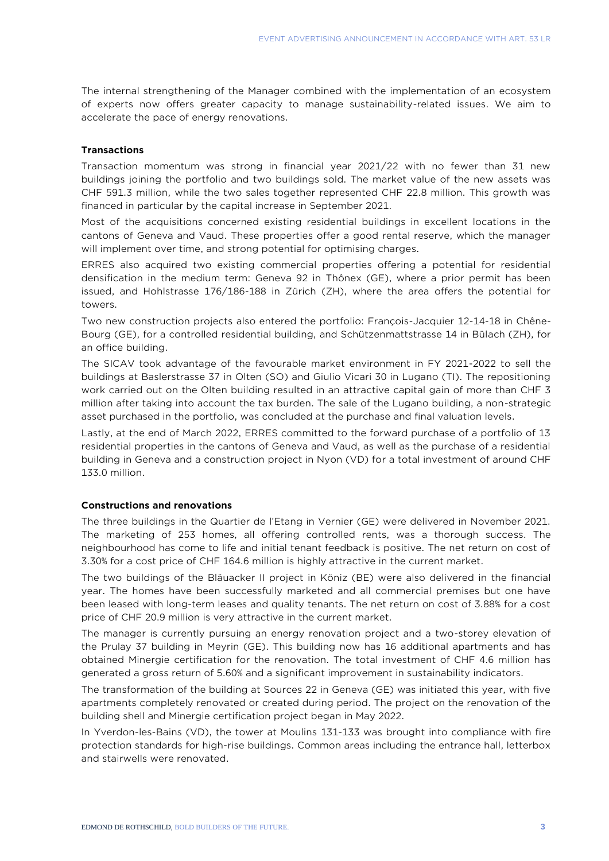The internal strengthening of the Manager combined with the implementation of an ecosystem of experts now offers greater capacity to manage sustainability-related issues. We aim to accelerate the pace of energy renovations.

## **Transactions**

Transaction momentum was strong in financial year 2021/22 with no fewer than 31 new buildings joining the portfolio and two buildings sold. The market value of the new assets was CHF 591.3 million, while the two sales together represented CHF 22.8 million. This growth was financed in particular by the capital increase in September 2021.

Most of the acquisitions concerned existing residential buildings in excellent locations in the cantons of Geneva and Vaud. These properties offer a good rental reserve, which the manager will implement over time, and strong potential for optimising charges.

ERRES also acquired two existing commercial properties offering a potential for residential densification in the medium term: Geneva 92 in Thônex (GE), where a prior permit has been issued, and Hohlstrasse 176/186-188 in Zürich (ZH), where the area offers the potential for towers.

Two new construction projects also entered the portfolio: François-Jacquier 12-14-18 in Chêne-Bourg (GE), for a controlled residential building, and Schützenmattstrasse 14 in Bülach (ZH), for an office building.

The SICAV took advantage of the favourable market environment in FY 2021-2022 to sell the buildings at Baslerstrasse 37 in Olten (SO) and Giulio Vicari 30 in Lugano (TI). The repositioning work carried out on the Olten building resulted in an attractive capital gain of more than CHF 3 million after taking into account the tax burden. The sale of the Lugano building, a non-strategic asset purchased in the portfolio, was concluded at the purchase and final valuation levels.

Lastly, at the end of March 2022, ERRES committed to the forward purchase of a portfolio of 13 residential properties in the cantons of Geneva and Vaud, as well as the purchase of a residential building in Geneva and a construction project in Nyon (VD) for a total investment of around CHF 133.0 million.

#### **Constructions and renovations**

The three buildings in the Quartier de l'Etang in Vernier (GE) were delivered in November 2021. The marketing of 253 homes, all offering controlled rents, was a thorough success. The neighbourhood has come to life and initial tenant feedback is positive. The net return on cost of 3.30% for a cost price of CHF 164.6 million is highly attractive in the current market.

The two buildings of the Bläuacker II project in Köniz (BE) were also delivered in the financial year. The homes have been successfully marketed and all commercial premises but one have been leased with long-term leases and quality tenants. The net return on cost of 3.88% for a cost price of CHF 20.9 million is very attractive in the current market.

The manager is currently pursuing an energy renovation project and a two-storey elevation of the Prulay 37 building in Meyrin (GE). This building now has 16 additional apartments and has obtained Minergie certification for the renovation. The total investment of CHF 4.6 million has generated a gross return of 5.60% and a significant improvement in sustainability indicators.

The transformation of the building at Sources 22 in Geneva (GE) was initiated this year, with five apartments completely renovated or created during period. The project on the renovation of the building shell and Minergie certification project began in May 2022.

In Yverdon-les-Bains (VD), the tower at Moulins 131-133 was brought into compliance with fire protection standards for high-rise buildings. Common areas including the entrance hall, letterbox and stairwells were renovated.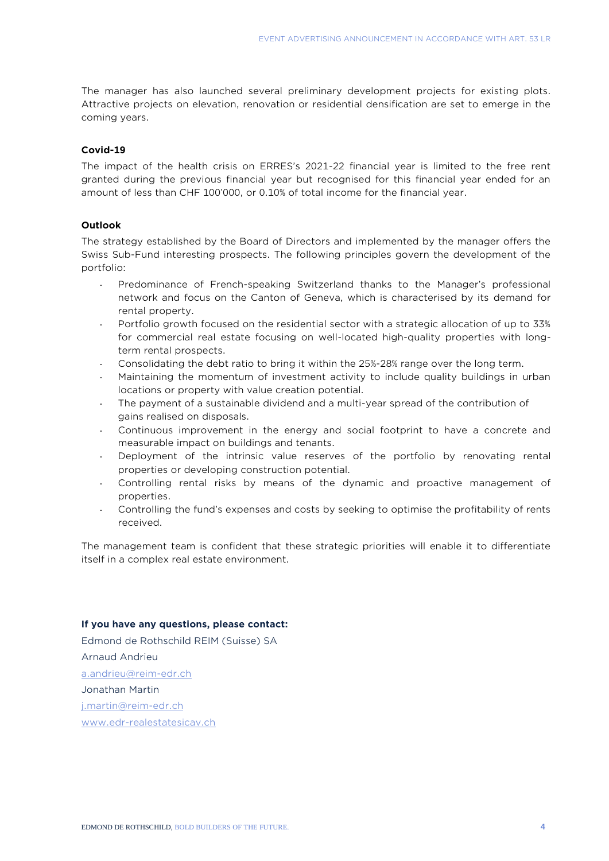The manager has also launched several preliminary development projects for existing plots. Attractive projects on elevation, renovation or residential densification are set to emerge in the coming years.

# **Covid-19**

The impact of the health crisis on ERRES's 2021-22 financial year is limited to the free rent granted during the previous financial year but recognised for this financial year ended for an amount of less than CHF 100'000, or 0.10% of total income for the financial year.

#### **Outlook**

The strategy established by the Board of Directors and implemented by the manager offers the Swiss Sub-Fund interesting prospects. The following principles govern the development of the portfolio:

- Predominance of French-speaking Switzerland thanks to the Manager's professional network and focus on the Canton of Geneva, which is characterised by its demand for rental property.
- Portfolio growth focused on the residential sector with a strategic allocation of up to 33% for commercial real estate focusing on well-located high-quality properties with longterm rental prospects.
- Consolidating the debt ratio to bring it within the 25%-28% range over the long term.
- Maintaining the momentum of investment activity to include quality buildings in urban locations or property with value creation potential.
- The payment of a sustainable dividend and a multi-year spread of the contribution of gains realised on disposals.
- Continuous improvement in the energy and social footprint to have a concrete and measurable impact on buildings and tenants.
- Deployment of the intrinsic value reserves of the portfolio by renovating rental properties or developing construction potential.
- Controlling rental risks by means of the dynamic and proactive management of properties.
- Controlling the fund's expenses and costs by seeking to optimise the profitability of rents received.

The management team is confident that these strategic priorities will enable it to differentiate itself in a complex real estate environment.

#### **If you have any questions, please contact:**

Edmond de Rothschild REIM (Suisse) SA Arnaud Andrieu [a.andrieu@reim-edr.ch](mailto:a.andrieu@reim-edr.ch) Jonathan Martin [j.martin@reim-edr.ch](mailto:j.martin@reim-edr.ch) [www.edr-realestatesicav.ch](http://www.edr-realestatesicav.ch/)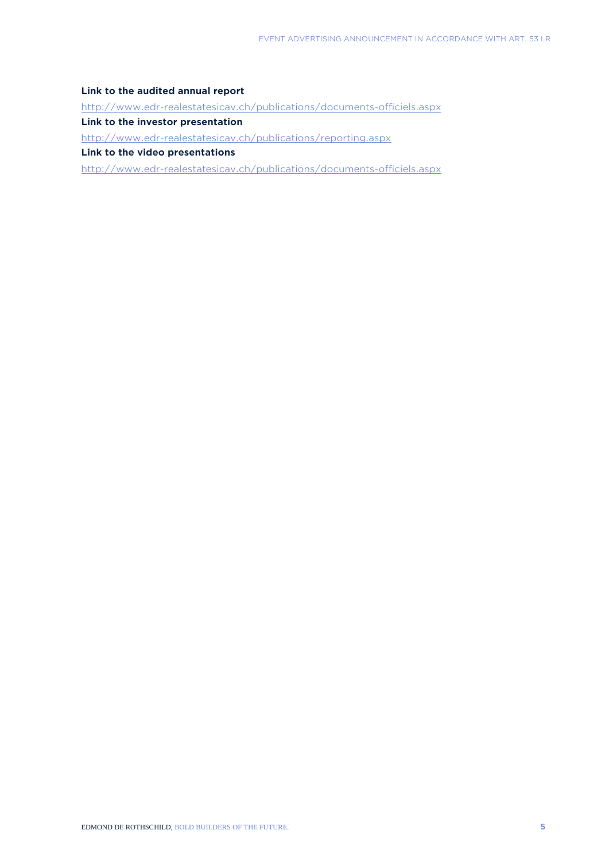#### **Link to the audited annual report**

<http://www.edr-realestatesicav.ch/publications/documents-officiels.aspx>

**Link to the investor presentation**

<http://www.edr-realestatesicav.ch/publications/reporting.aspx>

**Link to the video presentations**

<http://www.edr-realestatesicav.ch/publications/documents-officiels.aspx>